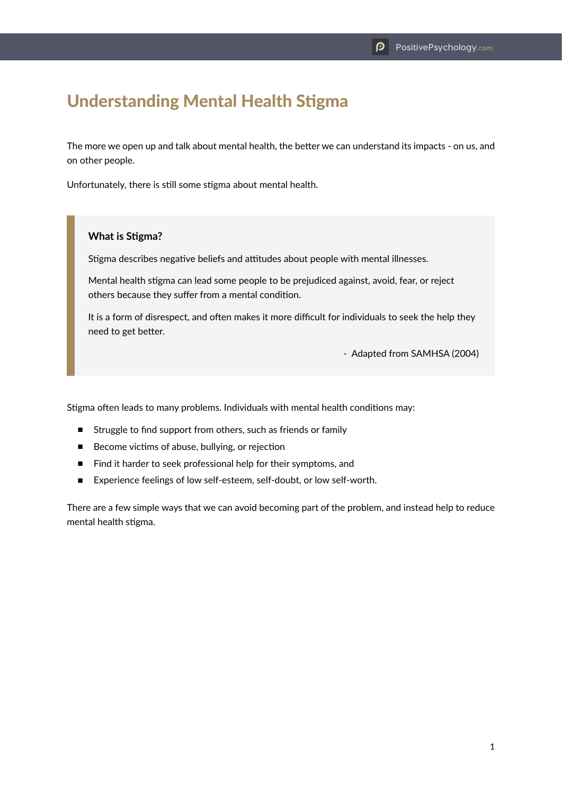## Understanding Mental Health Stigma

The more we open up and talk about mental health, the better we can understand its impacts - on us, and on other people.

Unfortunately, there is still some stigma about mental health.

## **What is Stigma?**

Stigma describes negative beliefs and attitudes about people with mental illnesses.

Mental health stigma can lead some people to be prejudiced against, avoid, fear, or reject others because they suffer from a mental condition.

It is a form of disrespect, and often makes it more difficult for individuals to seek the help they need to get better.

- Adapted from SAMHSA (2004)

Stigma often leads to many problems. Individuals with mental health conditions may:

- Struggle to find support from others, such as friends or family
- Become victims of abuse, bullying, or rejection
- Find it harder to seek professional help for their symptoms, and
- Experience feelings of low self-esteem, self-doubt, or low self-worth.

There are a few simple ways that we can avoid becoming part of the problem, and instead help to reduce mental health stigma.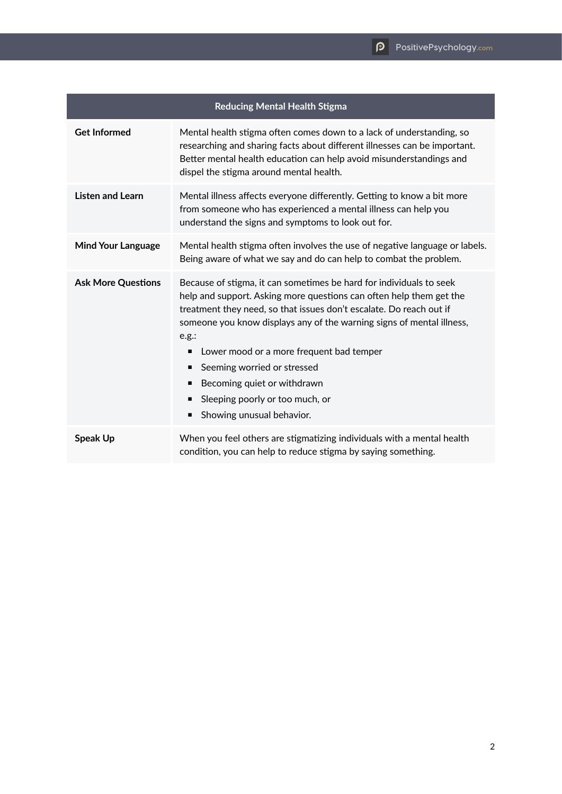| <b>Reducing Mental Health Stigma</b> |                                                                                                                                                                                                                                                                                                                                                                                                                                                                                                        |
|--------------------------------------|--------------------------------------------------------------------------------------------------------------------------------------------------------------------------------------------------------------------------------------------------------------------------------------------------------------------------------------------------------------------------------------------------------------------------------------------------------------------------------------------------------|
| <b>Get Informed</b>                  | Mental health stigma often comes down to a lack of understanding, so<br>researching and sharing facts about different illnesses can be important.<br>Better mental health education can help avoid misunderstandings and<br>dispel the stigma around mental health.                                                                                                                                                                                                                                    |
| <b>Listen and Learn</b>              | Mental illness affects everyone differently. Getting to know a bit more<br>from someone who has experienced a mental illness can help you<br>understand the signs and symptoms to look out for.                                                                                                                                                                                                                                                                                                        |
| <b>Mind Your Language</b>            | Mental health stigma often involves the use of negative language or labels.<br>Being aware of what we say and do can help to combat the problem.                                                                                                                                                                                                                                                                                                                                                       |
| <b>Ask More Questions</b>            | Because of stigma, it can sometimes be hard for individuals to seek<br>help and support. Asking more questions can often help them get the<br>treatment they need, so that issues don't escalate. Do reach out if<br>someone you know displays any of the warning signs of mental illness,<br>e.g.:<br>Lower mood or a more frequent bad temper<br>п<br>Seeming worried or stressed<br>п<br>Becoming quiet or withdrawn<br>п<br>Sleeping poorly or too much, or<br>п<br>Showing unusual behavior.<br>٠ |
| <b>Speak Up</b>                      | When you feel others are stigmatizing individuals with a mental health<br>condition, you can help to reduce stigma by saying something.                                                                                                                                                                                                                                                                                                                                                                |